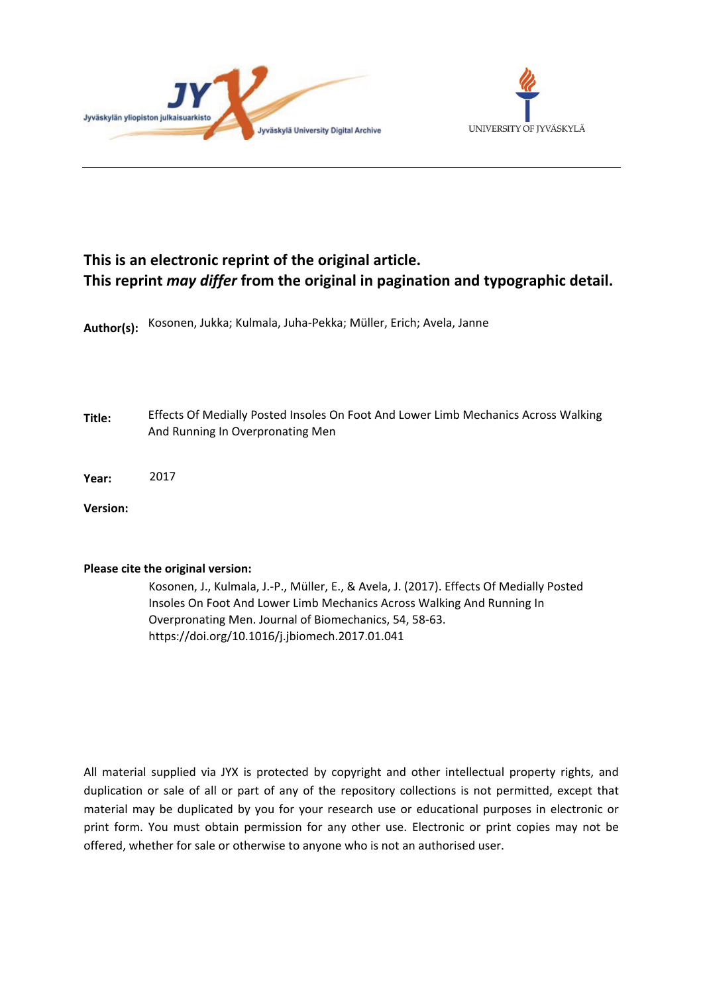



### **This is an electronic reprint of the original article. This reprint** *may differ* **from the original in pagination and typographic detail.**

**Author(s):**  Kosonen, Jukka; Kulmala, Juha-Pekka; Müller, Erich; Avela, Janne

**Title:** Effects Of Medially Posted Insoles On Foot And Lower Limb Mechanics Across Walking And Running In Overpronating Men

**Year:**  2017

**Version:**

#### **Please cite the original version:**

Kosonen, J., Kulmala, J.-P., Müller, E., & Avela, J. (2017). Effects Of Medially Posted Insoles On Foot And Lower Limb Mechanics Across Walking And Running In Overpronating Men. Journal of Biomechanics, 54, 58-63. https://doi.org/10.1016/j.jbiomech.2017.01.041

All material supplied via JYX is protected by copyright and other intellectual property rights, and duplication or sale of all or part of any of the repository collections is not permitted, except that material may be duplicated by you for your research use or educational purposes in electronic or print form. You must obtain permission for any other use. Electronic or print copies may not be offered, whether for sale or otherwise to anyone who is not an authorised user.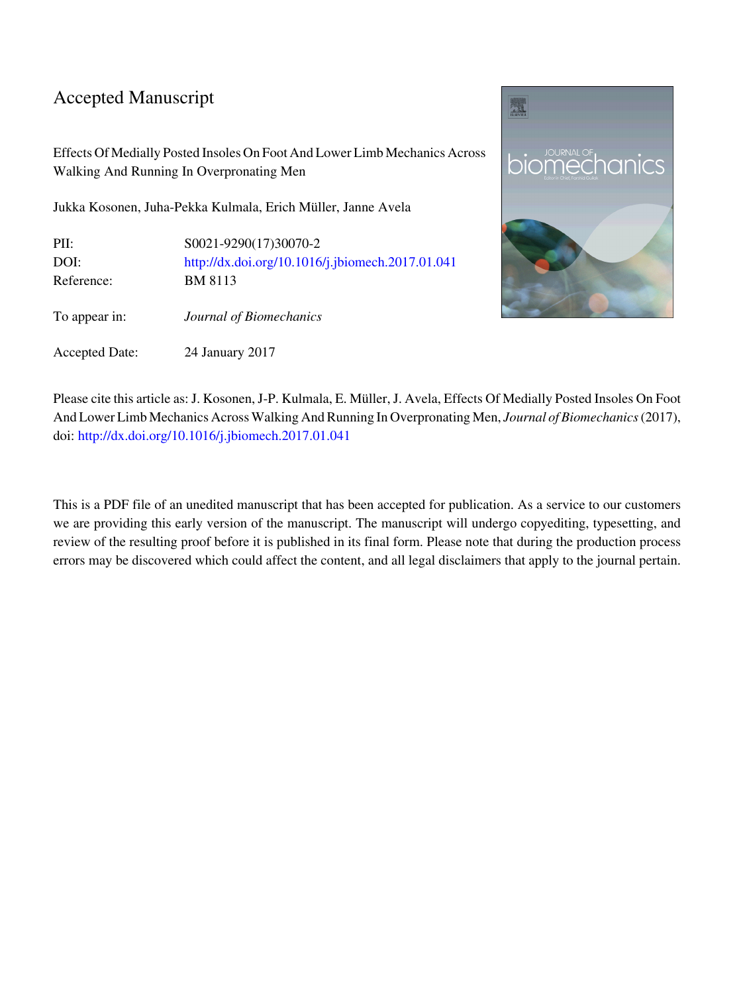### Accepted Manuscript

Effects Of Medially Posted Insoles On Foot And Lower Limb Mechanics Across Walking And Running In Overpronating Men

Jukka Kosonen, Juha-Pekka Kulmala, Erich Müller, Janne Avela

| PII:                  | S0021-9290(17)30070-2                            |
|-----------------------|--------------------------------------------------|
| DOI:                  | http://dx.doi.org/10.1016/j.jbiomech.2017.01.041 |
| Reference:            | <b>BM 8113</b>                                   |
| To appear in:         | Journal of Biomechanics                          |
| <b>Accepted Date:</b> | 24 January 2017                                  |



Please cite this article as: J. Kosonen, J-P. Kulmala, E. Müller, J. Avela, Effects Of Medially Posted Insoles On Foot And Lower Limb Mechanics Across Walking And Running In Overpronating Men, Journal of Biomechanics (2017), doi:<http://dx.doi.org/10.1016/j.jbiomech.2017.01.041>

This is a PDF file of an unedited manuscript that has been accepted for publication. As a service to our customers we are providing this early version of the manuscript. The manuscript will undergo copyediting, typesetting, and review of the resulting proof before it is published in its final form. Please note that during the production process errors may be discovered which could affect the content, and all legal disclaimers that apply to the journal pertain.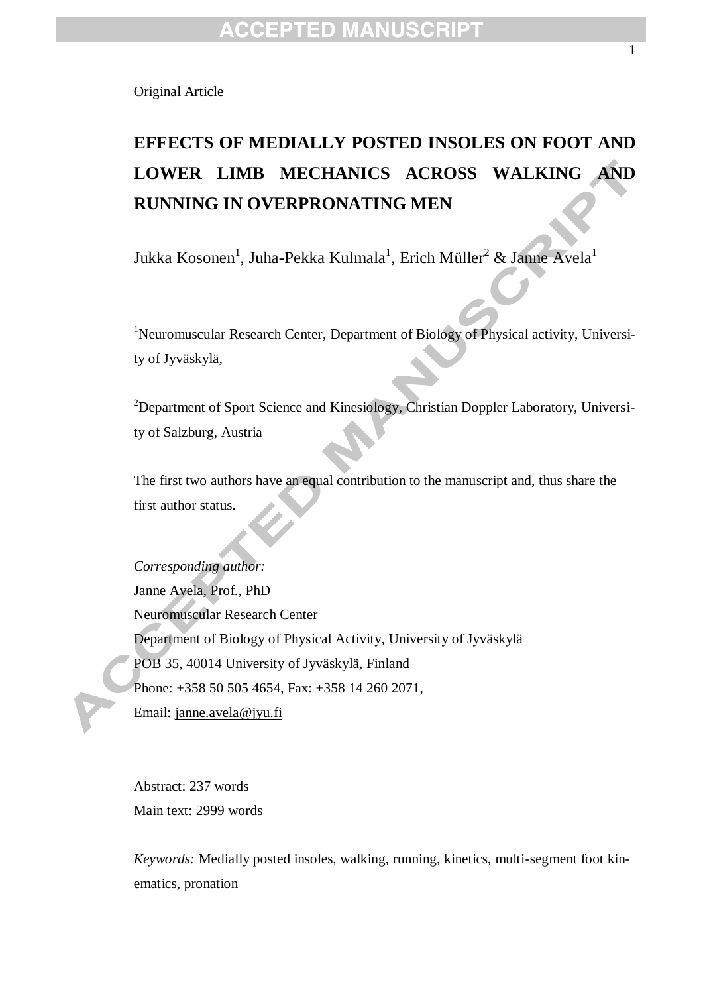Original Article

# **EFFECTS OF MEDIALLY POSTED INSOLES ON FOOT AND LOWER LIMB MECHANICS ACROSS WALKING AND RUNNING IN OVERPRONATING MEN**

Jukka Kosonen<sup>1</sup>, Juha-Pekka Kulmala<sup>1</sup>, Erich Müller<sup>2</sup> & Janne Avela<sup>1</sup>

<sup>1</sup>Neuromuscular Research Center, Department of Biology of Physical activity, University of Jyväskylä,

<sup>2</sup>Department of Sport Science and Kinesiology, Christian Doppler Laboratory, University of Salzburg, Austria

The first two authors have an equal contribution to the manuscript and, thus share the first author status.

*Corresponding author:*  Janne Avela, Prof., PhD Neuromuscular Research Center Department of Biology of Physical Activity, University of Jyväskylä POB 35, 40014 University of Jyväskylä, Finland Phone: +358 50 505 4654, Fax: +358 14 260 2071, Email: [janne.avela@jyu.fi](mailto:janne.avela@jyu.fi)

Abstract: 237 words Main text: 2999 words

*Keywords:* Medially posted insoles, walking, running, kinetics, multi-segment foot kinematics, pronation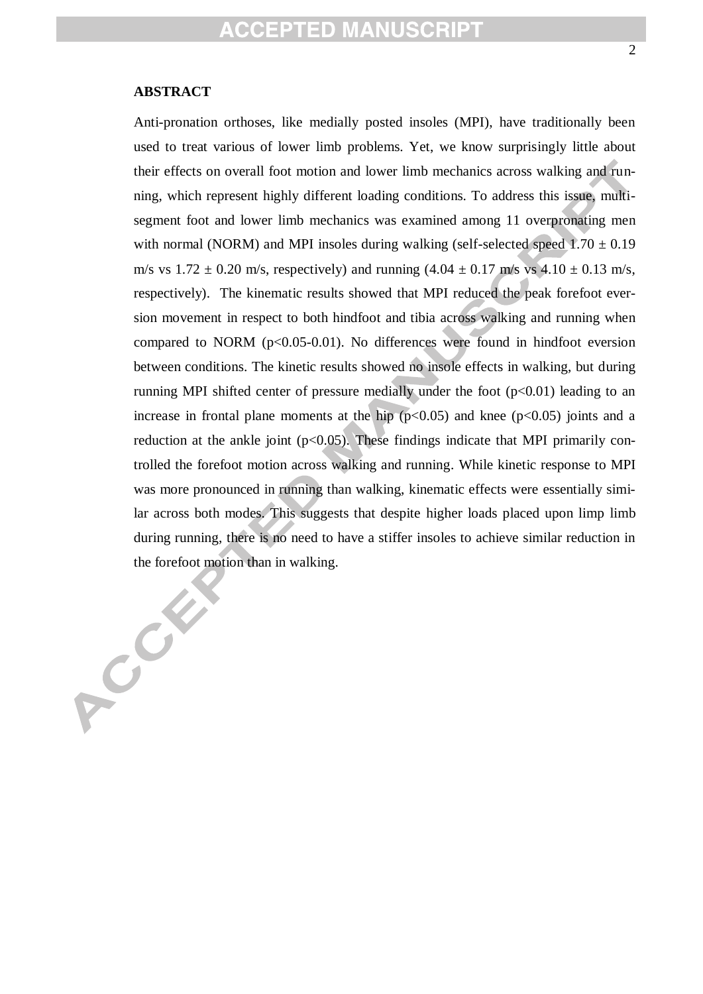#### **ABSTRACT**

PCCE

Anti-pronation orthoses, like medially posted insoles (MPI), have traditionally been used to treat various of lower limb problems. Yet, we know surprisingly little about their effects on overall foot motion and lower limb mechanics across walking and running, which represent highly different loading conditions. To address this issue, multisegment foot and lower limb mechanics was examined among 11 overpronating men with normal (NORM) and MPI insoles during walking (self-selected speed  $1.70 \pm 0.19$ ) m/s vs  $1.72 \pm 0.20$  m/s, respectively) and running  $(4.04 \pm 0.17$  m/s vs  $4.10 \pm 0.13$  m/s, respectively). The kinematic results showed that MPI reduced the peak forefoot eversion movement in respect to both hindfoot and tibia across walking and running when compared to NORM  $(p<0.05-0.01)$ . No differences were found in hindfoot eversion between conditions. The kinetic results showed no insole effects in walking, but during running MPI shifted center of pressure medially under the foot  $(p<0.01)$  leading to an increase in frontal plane moments at the hip  $(p<0.05)$  and knee  $(p<0.05)$  joints and a reduction at the ankle joint  $(p<0.05)$ . These findings indicate that MPI primarily controlled the forefoot motion across walking and running. While kinetic response to MPI was more pronounced in running than walking, kinematic effects were essentially similar across both modes. This suggests that despite higher loads placed upon limp limb during running, there is no need to have a stiffer insoles to achieve similar reduction in the forefoot motion than in walking.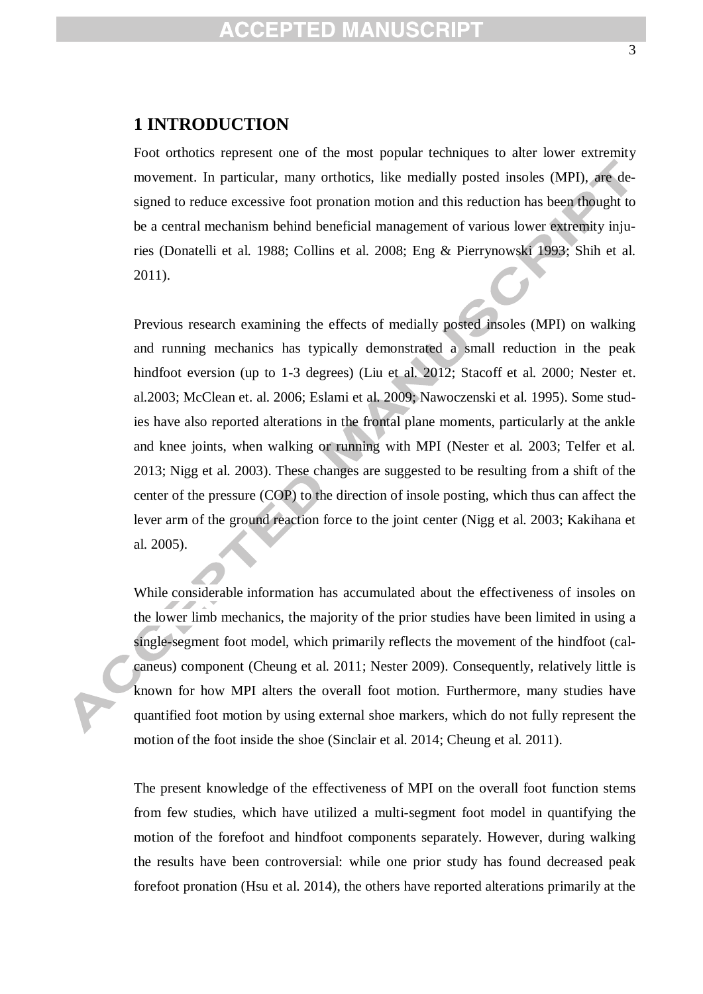#### **1 INTRODUCTION**

Foot orthotics represent one of the most popular techniques to alter lower extremity movement. In particular, many orthotics, like medially posted insoles (MPI), are designed to reduce excessive foot pronation motion and this reduction has been thought to be a central mechanism behind beneficial management of various lower extremity injuries (Donatelli et al. 1988; Collins et al. 2008; Eng & Pierrynowski 1993; Shih et al. 2011).

Previous research examining the effects of medially posted insoles (MPI) on walking and running mechanics has typically demonstrated a small reduction in the peak hindfoot eversion (up to 1-3 degrees) (Liu et al. 2012; Stacoff et al. 2000; Nester et. al.2003; McClean et. al. 2006; Eslami et al. 2009; Nawoczenski et al. 1995). Some studies have also reported alterations in the frontal plane moments, particularly at the ankle and knee joints, when walking or running with MPI (Nester et al. 2003; Telfer et al. 2013; Nigg et al. 2003). These changes are suggested to be resulting from a shift of the center of the pressure (COP) to the direction of insole posting, which thus can affect the lever arm of the ground reaction force to the joint center (Nigg et al. 2003; Kakihana et al. 2005).

While considerable information has accumulated about the effectiveness of insoles on the lower limb mechanics, the majority of the prior studies have been limited in using a single-segment foot model, which primarily reflects the movement of the hindfoot (calcaneus) component (Cheung et al. 2011; Nester 2009). Consequently, relatively little is known for how MPI alters the overall foot motion. Furthermore, many studies have quantified foot motion by using external shoe markers, which do not fully represent the motion of the foot inside the shoe (Sinclair et al. 2014; Cheung et al. 2011).

The present knowledge of the effectiveness of MPI on the overall foot function stems from few studies, which have utilized a multi-segment foot model in quantifying the motion of the forefoot and hindfoot components separately. However, during walking the results have been controversial: while one prior study has found decreased peak forefoot pronation (Hsu et al. 2014), the others have reported alterations primarily at the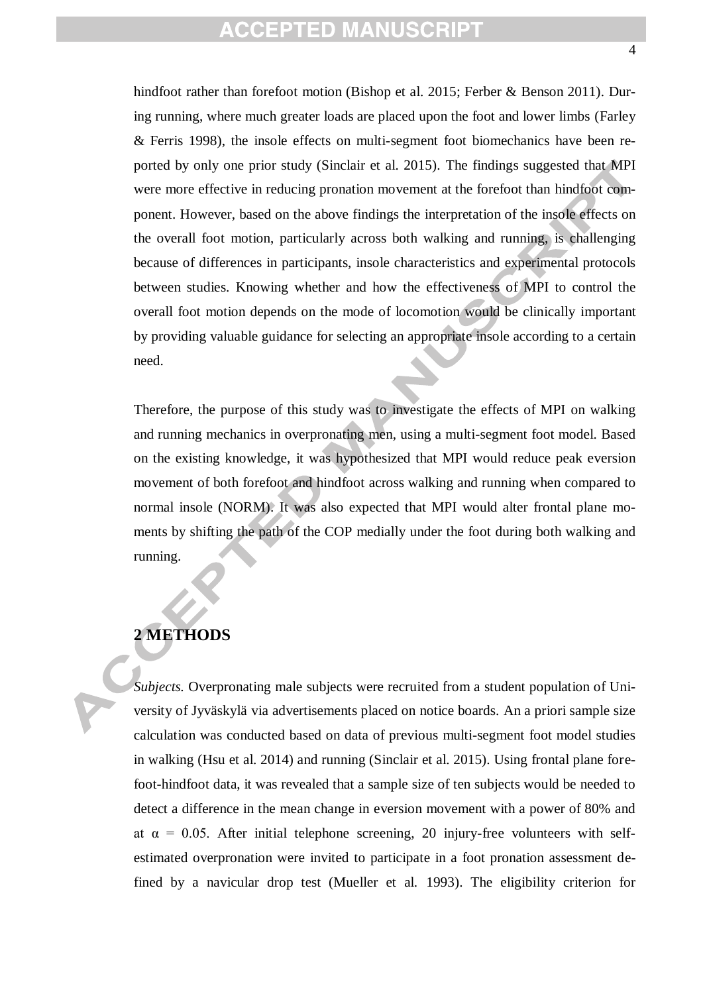hindfoot rather than forefoot motion (Bishop et al. 2015; Ferber & Benson 2011). During running, where much greater loads are placed upon the foot and lower limbs (Farley & Ferris 1998), the insole effects on multi-segment foot biomechanics have been reported by only one prior study (Sinclair et al. 2015). The findings suggested that MPI were more effective in reducing pronation movement at the forefoot than hindfoot component. However, based on the above findings the interpretation of the insole effects on the overall foot motion, particularly across both walking and running, is challenging because of differences in participants, insole characteristics and experimental protocols between studies. Knowing whether and how the effectiveness of MPI to control the overall foot motion depends on the mode of locomotion would be clinically important by providing valuable guidance for selecting an appropriate insole according to a certain need.

Therefore, the purpose of this study was to investigate the effects of MPI on walking and running mechanics in overpronating men, using a multi-segment foot model. Based on the existing knowledge, it was hypothesized that MPI would reduce peak eversion movement of both forefoot and hindfoot across walking and running when compared to normal insole (NORM). It was also expected that MPI would alter frontal plane moments by shifting the path of the COP medially under the foot during both walking and running.

#### **2 METHODS**

*Subjects.* Overpronating male subjects were recruited from a student population of University of Jyväskylä via advertisements placed on notice boards. An a priori sample size calculation was conducted based on data of previous multi-segment foot model studies in walking (Hsu et al. 2014) and running (Sinclair et al. 2015). Using frontal plane forefoot-hindfoot data, it was revealed that a sample size of ten subjects would be needed to detect a difference in the mean change in eversion movement with a power of 80% and at  $\alpha = 0.05$ . After initial telephone screening, 20 injury-free volunteers with selfestimated overpronation were invited to participate in a foot pronation assessment defined by a navicular drop test (Mueller et al. 1993). The eligibility criterion for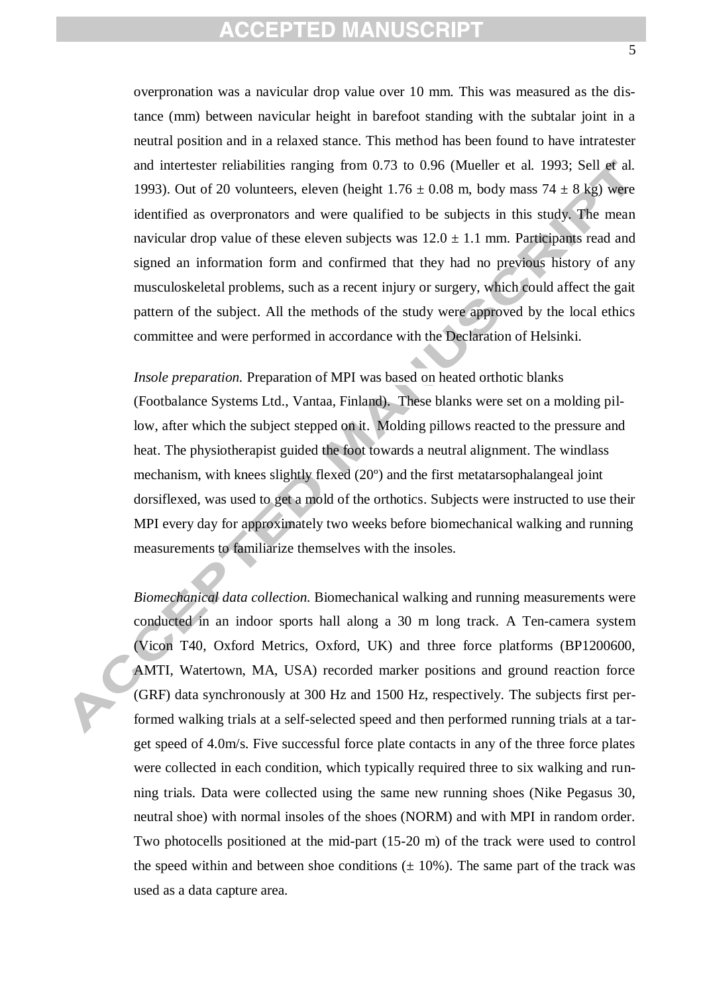overpronation was a navicular drop value over 10 mm. This was measured as the distance (mm) between navicular height in barefoot standing with the subtalar joint in a neutral position and in a relaxed stance. This method has been found to have intratester and intertester reliabilities ranging from 0.73 to 0.96 (Mueller et al. 1993; Sell et al. 1993). Out of 20 volunteers, eleven (height  $1.76 \pm 0.08$  m, body mass  $74 \pm 8$  kg) were identified as overpronators and were qualified to be subjects in this study. The mean navicular drop value of these eleven subjects was  $12.0 \pm 1.1$  mm. Participants read and signed an information form and confirmed that they had no previous history of any musculoskeletal problems, such as a recent injury or surgery, which could affect the gait pattern of the subject. All the methods of the study were approved by the local ethics committee and were performed in accordance with the Declaration of Helsinki.

*Insole preparation.* Preparation of MPI was based on heated orthotic blanks (Footbalance Systems Ltd., Vantaa, Finland). These blanks were set on a molding pillow, after which the subject stepped on it. Molding pillows reacted to the pressure and heat. The physiotherapist guided the foot towards a neutral alignment. The windlass mechanism, with knees slightly flexed (20º) and the first metatarsophalangeal joint dorsiflexed, was used to get a mold of the orthotics. Subjects were instructed to use their MPI every day for approximately two weeks before biomechanical walking and running measurements to familiarize themselves with the insoles.

*Biomechanical data collection.* Biomechanical walking and running measurements were conducted in an indoor sports hall along a 30 m long track. A Ten-camera system (Vicon T40, Oxford Metrics, Oxford, UK) and three force platforms (BP1200600, AMTI, Watertown, MA, USA) recorded marker positions and ground reaction force (GRF) data synchronously at 300 Hz and 1500 Hz, respectively. The subjects first performed walking trials at a self-selected speed and then performed running trials at a target speed of 4.0m/s. Five successful force plate contacts in any of the three force plates were collected in each condition, which typically required three to six walking and running trials. Data were collected using the same new running shoes (Nike Pegasus 30, neutral shoe) with normal insoles of the shoes (NORM) and with MPI in random order. Two photocells positioned at the mid-part (15-20 m) of the track were used to control the speed within and between shoe conditions  $(\pm 10\%)$ . The same part of the track was used as a data capture area.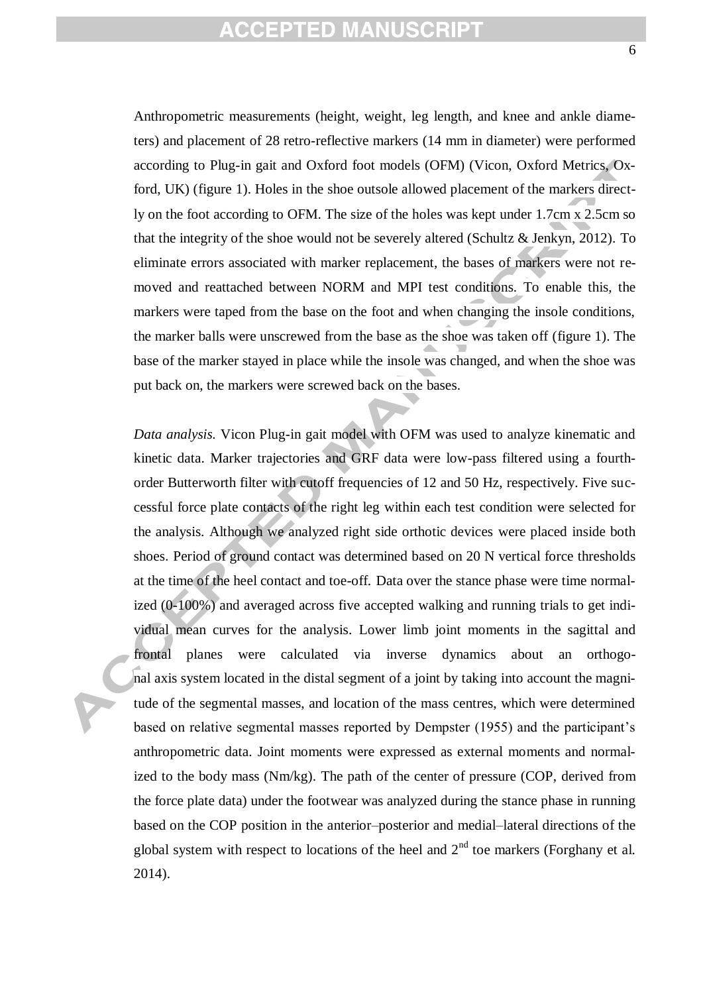Anthropometric measurements (height, weight, leg length, and knee and ankle diameters) and placement of 28 retro-reflective markers (14 mm in diameter) were performed according to Plug-in gait and Oxford foot models (OFM) (Vicon, Oxford Metrics, Oxford, UK) (figure 1). Holes in the shoe outsole allowed placement of the markers directly on the foot according to OFM. The size of the holes was kept under 1.7cm x 2.5cm so that the integrity of the shoe would not be severely altered (Schultz & Jenkyn, 2012). To eliminate errors associated with marker replacement, the bases of markers were not removed and reattached between NORM and MPI test conditions. To enable this, the markers were taped from the base on the foot and when changing the insole conditions, the marker balls were unscrewed from the base as the shoe was taken off (figure 1). The base of the marker stayed in place while the insole was changed, and when the shoe was put back on, the markers were screwed back on the bases.

*Data analysis.* Vicon Plug-in gait model with OFM was used to analyze kinematic and kinetic data. Marker trajectories and GRF data were low-pass filtered using a fourthorder Butterworth filter with cutoff frequencies of 12 and 50 Hz, respectively. Five successful force plate contacts of the right leg within each test condition were selected for the analysis. Although we analyzed right side orthotic devices were placed inside both shoes. Period of ground contact was determined based on 20 N vertical force thresholds at the time of the heel contact and toe-off. Data over the stance phase were time normalized (0-100%) and averaged across five accepted walking and running trials to get individual mean curves for the analysis. Lower limb joint moments in the sagittal and frontal planes were calculated via inverse dynamics about an orthogonal axis system located in the distal segment of a joint by taking into account the magnitude of the segmental masses, and location of the mass centres, which were determined based on relative segmental masses reported by Dempster (1955) and the participant's anthropometric data. Joint moments were expressed as external moments and normalized to the body mass (Nm/kg). The path of the center of pressure (COP, derived from the force plate data) under the footwear was analyzed during the stance phase in running based on the COP position in the anterior–posterior and medial–lateral directions of the global system with respect to locations of the heel and  $2<sup>nd</sup>$  toe markers (Forghany et al. 2014).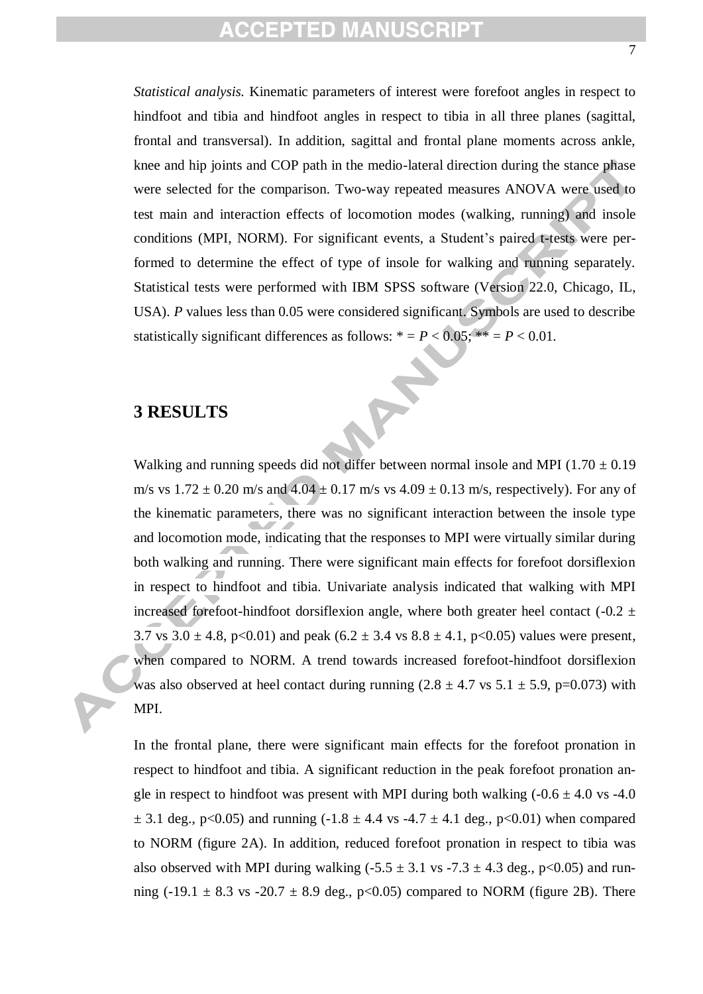*Statistical analysis.* Kinematic parameters of interest were forefoot angles in respect to hindfoot and tibia and hindfoot angles in respect to tibia in all three planes (sagittal, frontal and transversal). In addition, sagittal and frontal plane moments across ankle, knee and hip joints and COP path in the medio-lateral direction during the stance phase were selected for the comparison. Two-way repeated measures ANOVA were used to test main and interaction effects of locomotion modes (walking, running) and insole conditions (MPI, NORM). For significant events, a Student's paired t-tests were performed to determine the effect of type of insole for walking and running separately. Statistical tests were performed with IBM SPSS software (Version 22.0, Chicago, IL, USA). *P* values less than 0.05 were considered significant. Symbols are used to describe statistically significant differences as follows:  $* = P < 0.05$ ;  $** = P < 0.01$ .

 $\blacktriangleright$ 

#### **3 RESULTS**

Walking and running speeds did not differ between normal insole and MPI ( $1.70 \pm 0.19$ ) m/s vs  $1.72 \pm 0.20$  m/s and  $4.04 \pm 0.17$  m/s vs  $4.09 \pm 0.13$  m/s, respectively). For any of the kinematic parameters, there was no significant interaction between the insole type and locomotion mode, indicating that the responses to MPI were virtually similar during both walking and running. There were significant main effects for forefoot dorsiflexion in respect to hindfoot and tibia. Univariate analysis indicated that walking with MPI increased forefoot-hindfoot dorsiflexion angle, where both greater heel contact (-0.2  $\pm$ 3.7 vs  $3.0 \pm 4.8$ , p<0.01) and peak (6.2  $\pm$  3.4 vs  $8.8 \pm 4.1$ , p<0.05) values were present, when compared to NORM. A trend towards increased forefoot-hindfoot dorsiflexion was also observed at heel contact during running  $(2.8 \pm 4.7 \text{ vs } 5.1 \pm 5.9, \text{ p=0.073})$  with MPI.

In the frontal plane, there were significant main effects for the forefoot pronation in respect to hindfoot and tibia. A significant reduction in the peak forefoot pronation angle in respect to hindfoot was present with MPI during both walking  $(-0.6 \pm 4.0 \text{ vs } -4.0 \text{ s})$  $\pm$  3.1 deg., p<0.05) and running (-1.8  $\pm$  4.4 vs -4.7  $\pm$  4.1 deg., p<0.01) when compared to NORM (figure 2A). In addition, reduced forefoot pronation in respect to tibia was also observed with MPI during walking  $(-5.5 \pm 3.1 \text{ vs } -7.3 \pm 4.3 \text{ deg.}, \text{ p} < 0.05)$  and running (-19.1  $\pm$  8.3 vs -20.7  $\pm$  8.9 deg., p<0.05) compared to NORM (figure 2B). There

7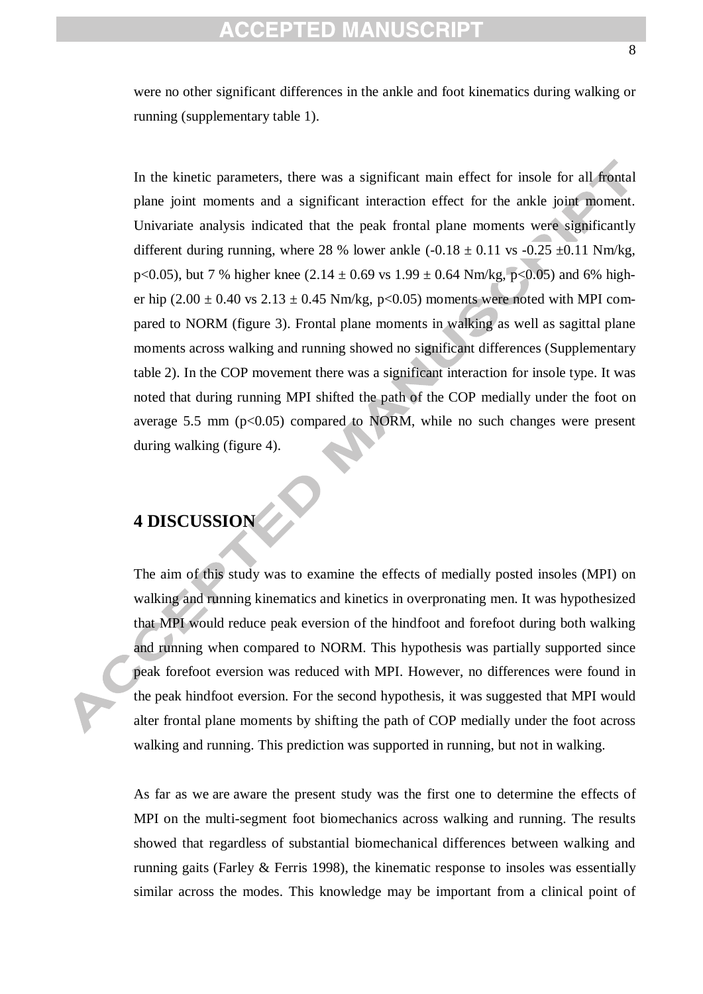were no other significant differences in the ankle and foot kinematics during walking or running (supplementary table 1).

In the kinetic parameters, there was a significant main effect for insole for all frontal plane joint moments and a significant interaction effect for the ankle joint moment. Univariate analysis indicated that the peak frontal plane moments were significantly different during running, where 28 % lower ankle  $(-0.18 \pm 0.11 \text{ vs } -0.25 \pm 0.11 \text{ Nm/kg})$ , p<0.05), but 7 % higher knee  $(2.14 \pm 0.69 \text{ vs } 1.99 \pm 0.64 \text{ Nm/kg}, \text{p} < 0.05)$  and 6% higher hip  $(2.00 \pm 0.40 \text{ vs } 2.13 \pm 0.45 \text{ Nm/kg}, \text{p} < 0.05)$  moments were noted with MPI compared to NORM (figure 3). Frontal plane moments in walking as well as sagittal plane moments across walking and running showed no significant differences (Supplementary table 2). In the COP movement there was a significant interaction for insole type. It was noted that during running MPI shifted the path of the COP medially under the foot on average 5.5 mm ( $p<0.05$ ) compared to NORM, while no such changes were present during walking (figure 4).

### **4 DISCUSSION**

The aim of this study was to examine the effects of medially posted insoles (MPI) on walking and running kinematics and kinetics in overpronating men. It was hypothesized that MPI would reduce peak eversion of the hindfoot and forefoot during both walking and running when compared to NORM. This hypothesis was partially supported since peak forefoot eversion was reduced with MPI. However, no differences were found in the peak hindfoot eversion. For the second hypothesis, it was suggested that MPI would alter frontal plane moments by shifting the path of COP medially under the foot across walking and running. This prediction was supported in running, but not in walking.

As far as we are aware the present study was the first one to determine the effects of MPI on the multi-segment foot biomechanics across walking and running. The results showed that regardless of substantial biomechanical differences between walking and running gaits (Farley & Ferris 1998), the kinematic response to insoles was essentially similar across the modes. This knowledge may be important from a clinical point of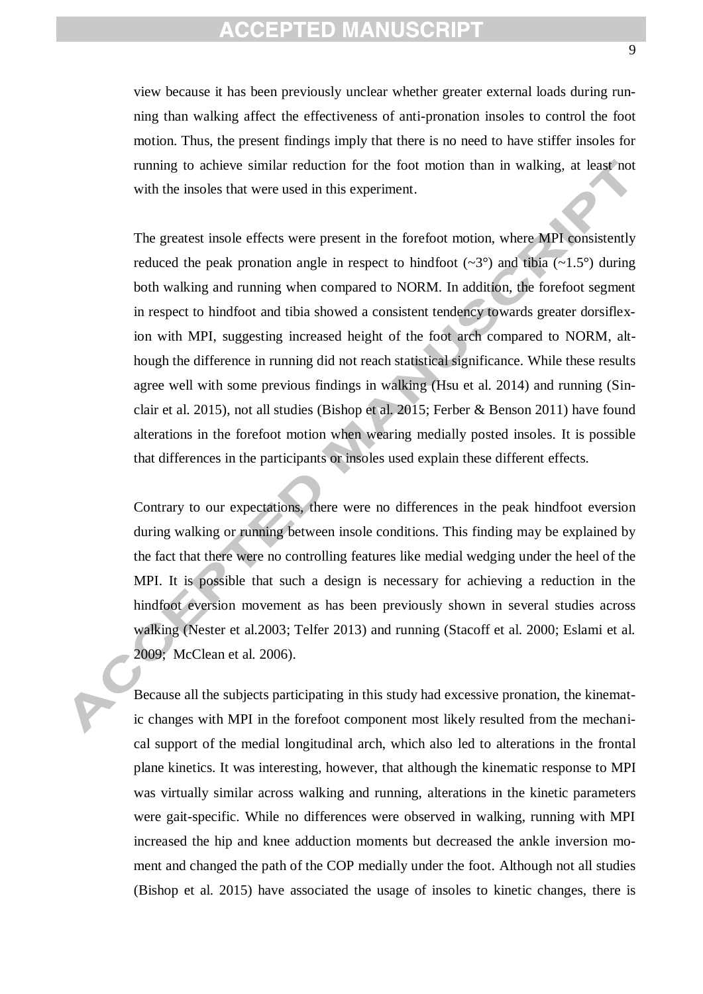view because it has been previously unclear whether greater external loads during running than walking affect the effectiveness of anti-pronation insoles to control the foot motion. Thus, the present findings imply that there is no need to have stiffer insoles for running to achieve similar reduction for the foot motion than in walking, at least not with the insoles that were used in this experiment.

The greatest insole effects were present in the forefoot motion, where MPI consistently reduced the peak pronation angle in respect to hindfoot  $(\sim 3^{\circ})$  and tibia  $(\sim 1.5^{\circ})$  during both walking and running when compared to NORM. In addition, the forefoot segment in respect to hindfoot and tibia showed a consistent tendency towards greater dorsiflexion with MPI, suggesting increased height of the foot arch compared to NORM, although the difference in running did not reach statistical significance. While these results agree well with some previous findings in walking (Hsu et al. 2014) and running (Sinclair et al. 2015), not all studies (Bishop et al. 2015; Ferber & Benson 2011) have found alterations in the forefoot motion when wearing medially posted insoles. It is possible that differences in the participants or insoles used explain these different effects.

Contrary to our expectations, there were no differences in the peak hindfoot eversion during walking or running between insole conditions. This finding may be explained by the fact that there were no controlling features like medial wedging under the heel of the MPI. It is possible that such a design is necessary for achieving a reduction in the hindfoot eversion movement as has been previously shown in several studies across walking (Nester et al.2003; Telfer 2013) and running (Stacoff et al. 2000; Eslami et al. 2009; McClean et al. 2006).

Because all the subjects participating in this study had excessive pronation, the kinematic changes with MPI in the forefoot component most likely resulted from the mechanical support of the medial longitudinal arch, which also led to alterations in the frontal plane kinetics. It was interesting, however, that although the kinematic response to MPI was virtually similar across walking and running, alterations in the kinetic parameters were gait-specific. While no differences were observed in walking, running with MPI increased the hip and knee adduction moments but decreased the ankle inversion moment and changed the path of the COP medially under the foot. Although not all studies (Bishop et al. 2015) have associated the usage of insoles to kinetic changes, there is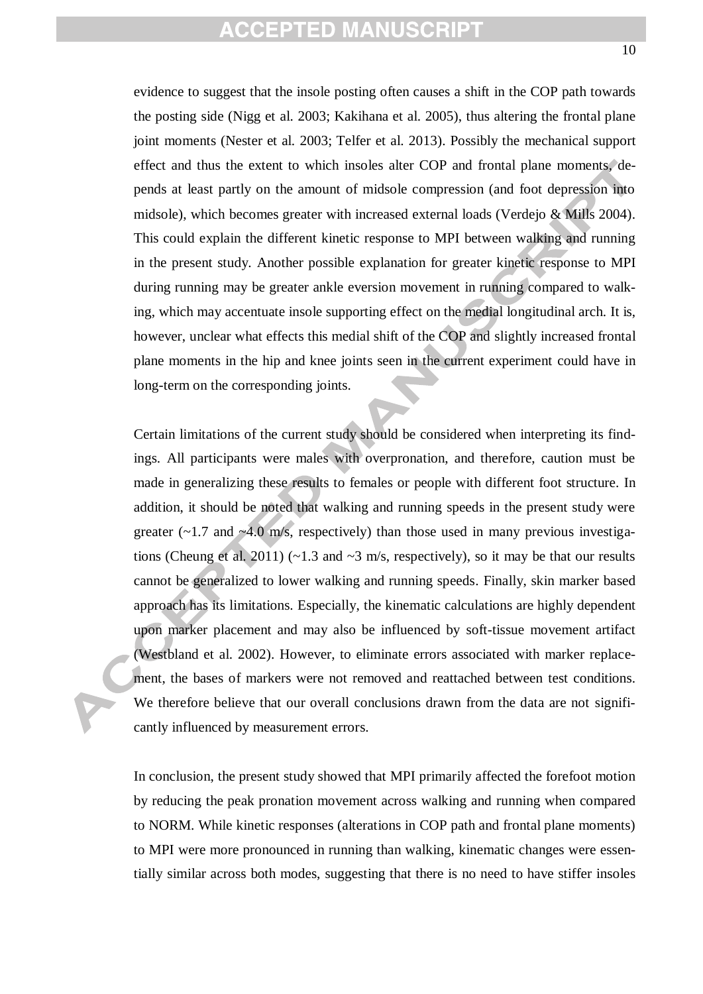evidence to suggest that the insole posting often causes a shift in the COP path towards the posting side (Nigg et al. 2003; Kakihana et al. 2005), thus altering the frontal plane joint moments (Nester et al. 2003; Telfer et al. 2013). Possibly the mechanical support effect and thus the extent to which insoles alter COP and frontal plane moments, depends at least partly on the amount of midsole compression (and foot depression into midsole), which becomes greater with increased external loads (Verdejo & Mills 2004). This could explain the different kinetic response to MPI between walking and running in the present study. Another possible explanation for greater kinetic response to MPI during running may be greater ankle eversion movement in running compared to walking, which may accentuate insole supporting effect on the medial longitudinal arch. It is, however, unclear what effects this medial shift of the COP and slightly increased frontal plane moments in the hip and knee joints seen in the current experiment could have in long-term on the corresponding joints.

Certain limitations of the current study should be considered when interpreting its findings. All participants were males with overpronation, and therefore, caution must be made in generalizing these results to females or people with different foot structure. In addition, it should be noted that walking and running speeds in the present study were greater  $(-1.7 \text{ and } -4.0 \text{ m/s},$  respectively) than those used in many previous investigations (Cheung et al. 2011) ( $\sim$ 1.3 and  $\sim$ 3 m/s, respectively), so it may be that our results cannot be generalized to lower walking and running speeds. Finally, skin marker based approach has its limitations. Especially, the kinematic calculations are highly dependent upon marker placement and may also be influenced by soft-tissue movement artifact (Westbland et al. 2002). However, to eliminate errors associated with marker replacement, the bases of markers were not removed and reattached between test conditions. We therefore believe that our overall conclusions drawn from the data are not significantly influenced by measurement errors.

In conclusion, the present study showed that MPI primarily affected the forefoot motion by reducing the peak pronation movement across walking and running when compared to NORM. While kinetic responses (alterations in COP path and frontal plane moments) to MPI were more pronounced in running than walking, kinematic changes were essentially similar across both modes, suggesting that there is no need to have stiffer insoles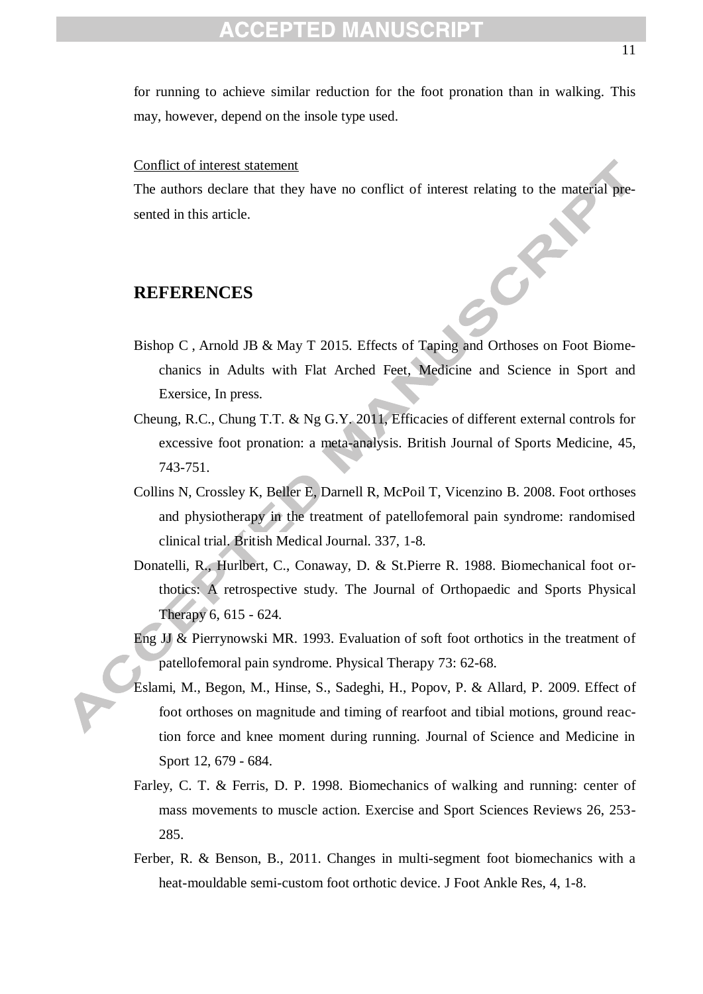for running to achieve similar reduction for the foot pronation than in walking. This may, however, depend on the insole type used.

#### Conflict of interest statement

The authors declare that they have no conflict of interest relating to the material presented in this article.

 $\mathcal{L}^k$ 

#### **REFERENCES**

- Bishop C , Arnold JB & May T 2015. Effects of Taping and Orthoses on Foot Biomechanics in Adults with Flat Arched Feet, Medicine and Science in Sport and Exersice, In press.
- Cheung, R.C., Chung T.T. & Ng G.Y. 2011, Efficacies of different external controls for excessive foot pronation: a meta-analysis. British Journal of Sports Medicine, 45, 743-751.
- Collins N, Crossley K, Beller E, Darnell R, McPoil T, Vicenzino B. 2008. Foot orthoses and physiotherapy in the treatment of patellofemoral pain syndrome: randomised clinical trial. British Medical Journal. 337, 1-8.
- Donatelli, R., Hurlbert, C., Conaway, D. & St.Pierre R. 1988. Biomechanical foot orthotics: A retrospective study. The Journal of Orthopaedic and Sports Physical Therapy 6, 615 - 624.
- Eng JJ & Pierrynowski MR. 1993. Evaluation of soft foot orthotics in the treatment of patellofemoral pain syndrome. Physical Therapy 73: 62-68.
- Eslami, M., Begon, M., Hinse, S., Sadeghi, H., Popov, P. & Allard, P. 2009. Effect of foot orthoses on magnitude and timing of rearfoot and tibial motions, ground reaction force and knee moment during running. Journal of Science and Medicine in Sport 12, 679 - 684.
- Farley, C. T. & Ferris, D. P. 1998. Biomechanics of walking and running: center of mass movements to muscle action. Exercise and Sport Sciences Reviews 26, 253- 285.
- Ferber, R. & Benson, B., 2011. Changes in multi-segment foot biomechanics with a heat-mouldable semi-custom foot orthotic device. J Foot Ankle Res, 4, 1-8.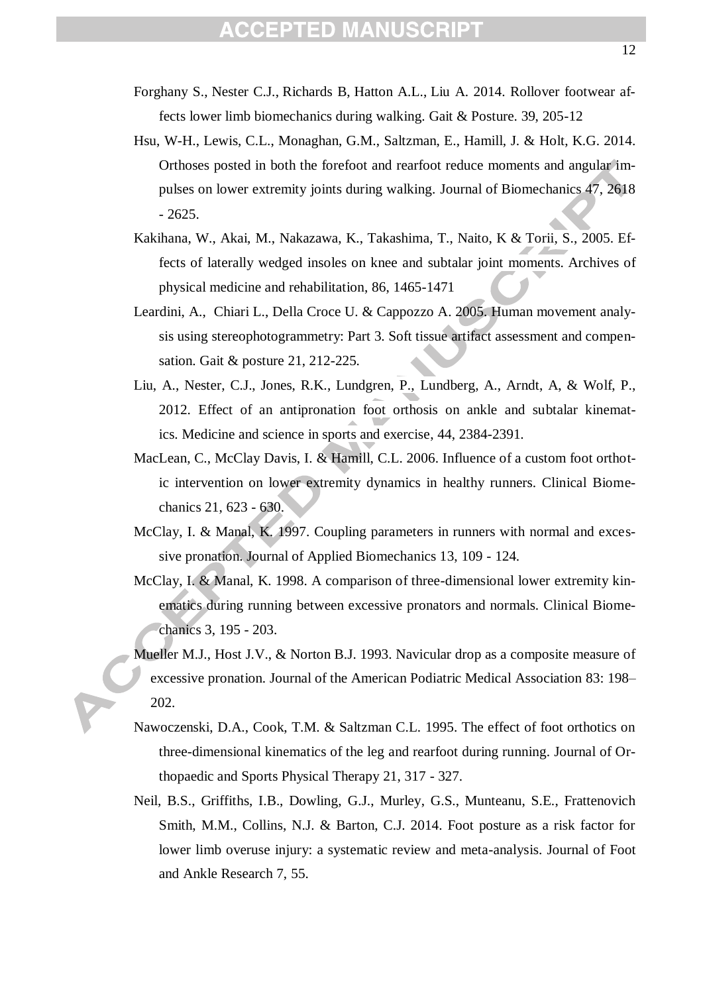- Forghany S., Nester C.J., Richards B, Hatton A.L., Liu A. 2014. Rollover footwear affects lower limb biomechanics during walking. Gait & Posture. 39, 205-12
- Hsu, W-H., Lewis, C.L., Monaghan, G.M., Saltzman, E., Hamill, J. & Holt, K.G. 2014. Orthoses posted in both the forefoot and rearfoot reduce moments and angular impulses on lower extremity joints during walking. Journal of Biomechanics 47, 2618 - 2625.
- Kakihana, W., Akai, M., Nakazawa, K., Takashima, T., Naito, K & Torii, S., 2005. Effects of laterally wedged insoles on knee and subtalar joint moments. Archives of physical medicine and rehabilitation, 86, 1465-1471
- Leardini, A., Chiari L., Della Croce U. & Cappozzo A. 2005. Human movement analysis using stereophotogrammetry: Part 3. Soft tissue artifact assessment and compensation. Gait & posture 21, 212-225.
- Liu, A., Nester, C.J., Jones, R.K., Lundgren, P., Lundberg, A., Arndt, A, & Wolf, P., 2012. Effect of an antipronation foot orthosis on ankle and subtalar kinematics. Medicine and science in sports and exercise, 44, 2384-2391.
- MacLean, C., McClay Davis, I. & Hamill, C.L. 2006. Influence of a custom foot orthotic intervention on lower extremity dynamics in healthy runners. Clinical Biomechanics 21, 623 - 630.
- McClay, I. & Manal, K. 1997. Coupling parameters in runners with normal and excessive pronation. Journal of Applied Biomechanics 13, 109 - 124.
- McClay, I. & Manal, K. 1998. A comparison of three-dimensional lower extremity kinematics during running between excessive pronators and normals. Clinical Biomechanics 3, 195 - 203.
- Mueller M.J., Host J.V., & Norton B.J. 1993. Navicular drop as a composite measure of excessive pronation. Journal of the American Podiatric Medical Association 83: 198– 202.
- Nawoczenski, D.A., Cook, T.M. & Saltzman C.L. 1995. The effect of foot orthotics on three-dimensional kinematics of the leg and rearfoot during running. Journal of Orthopaedic and Sports Physical Therapy 21, 317 - 327.
- Neil, B.S., Griffiths, I.B., Dowling, G.J., Murley, G.S., Munteanu, S.E., Frattenovich Smith, M.M., Collins, N.J. & Barton, C.J. 2014. Foot posture as a risk factor for lower limb overuse injury: a systematic review and meta-analysis. Journal of Foot and Ankle Research 7, 55.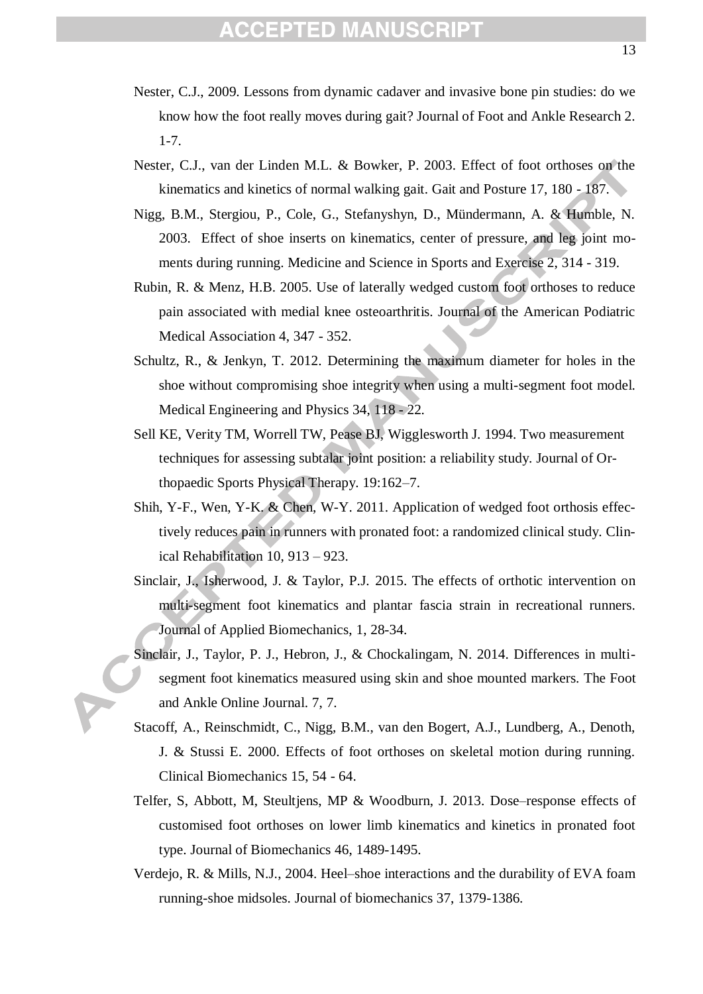- Nester, C.J., 2009. Lessons from dynamic cadaver and invasive bone pin studies: do we know how the foot really moves during gait? Journal of Foot and Ankle Research 2. 1-7.
- Nester, C.J., van der Linden M.L. & Bowker, P. 2003. Effect of foot orthoses on the kinematics and kinetics of normal walking gait. Gait and Posture 17, 180 - 187.
- Nigg, B.M., Stergiou, P., Cole, G., Stefanyshyn, D., Mündermann, A. & Humble, N. 2003. Effect of shoe inserts on kinematics, center of pressure, and leg joint moments during running. Medicine and Science in Sports and Exercise 2, 314 - 319.
- Rubin, R. & Menz, H.B. 2005. Use of laterally wedged custom foot orthoses to reduce pain associated with medial knee osteoarthritis. Journal of the American Podiatric Medical Association 4, 347 - 352.
- Schultz, R., & Jenkyn, T. 2012. Determining the maximum diameter for holes in the shoe without compromising shoe integrity when using a multi-segment foot model. Medical Engineering and Physics 34, 118 - 22.
- Sell KE, Verity TM, Worrell TW, Pease BJ, Wigglesworth J. 1994. Two measurement techniques for assessing subtalar joint position: a reliability study. Journal of Orthopaedic Sports Physical Therapy. 19:162–7.
- Shih, Y-F., Wen, Y-K. & Chen, W-Y. 2011. Application of wedged foot orthosis effectively reduces pain in runners with pronated foot: a randomized clinical study. Clinical Rehabilitation 10, 913 – 923.
- Sinclair, J., Isherwood, J. & Taylor, P.J. 2015. The effects of orthotic intervention on multi-segment foot kinematics and plantar fascia strain in recreational runners. Journal of Applied Biomechanics, 1, 28-34.
- Sinclair, J., Taylor, P. J., Hebron, J., & Chockalingam, N. 2014. Differences in multisegment foot kinematics measured using skin and shoe mounted markers. The Foot and Ankle Online Journal. 7, 7.
- Stacoff, A., Reinschmidt, C., Nigg, B.M., van den Bogert, A.J., Lundberg, A., Denoth, J. & Stussi E. 2000. Effects of foot orthoses on skeletal motion during running. Clinical Biomechanics 15, 54 - 64.
- Telfer, S, Abbott, M, Steultjens, MP & Woodburn, J. 2013. Dose–response effects of customised foot orthoses on lower limb kinematics and kinetics in pronated foot type. Journal of Biomechanics 46, 1489-1495.
- Verdejo, R. & Mills, N.J., 2004. Heel–shoe interactions and the durability of EVA foam running-shoe midsoles. Journal of biomechanics 37, 1379-1386.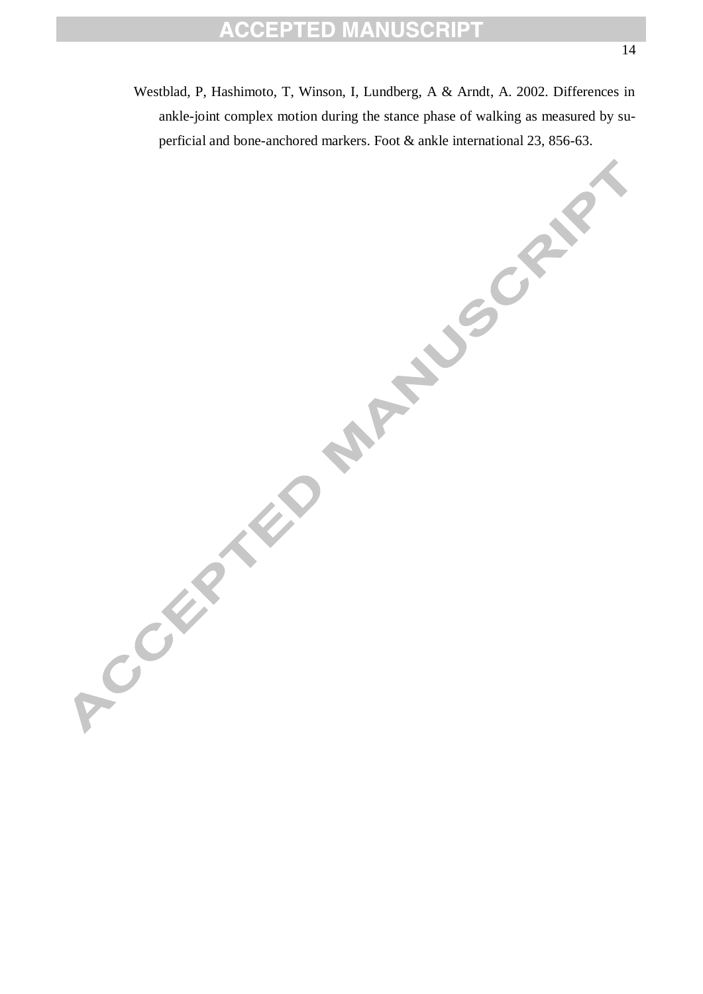Westblad, P, Hashimoto, T, Winson, I, Lundberg, A & Arndt, A. 2002. Differences in ankle-joint complex motion during the stance phase of walking as measured by superficial and bone-anchored markers. Foot & ankle international 23, 856-63.<br>
CONTRACTOR